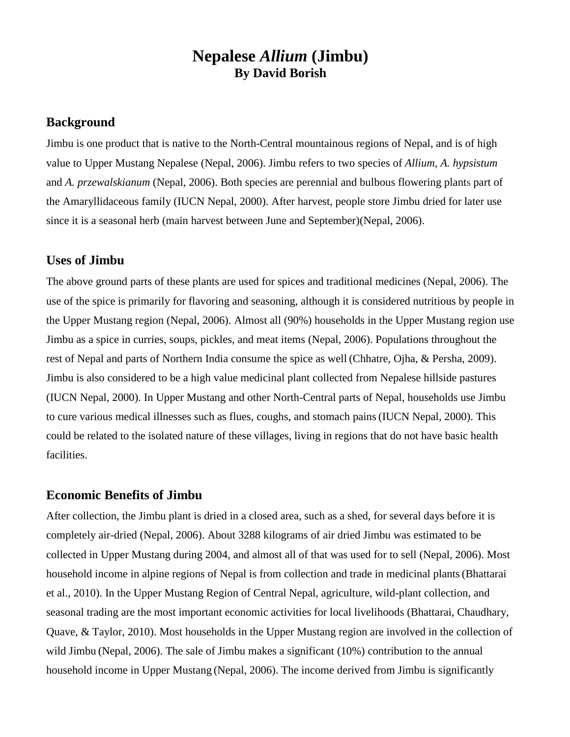# **Nepalese** *Allium* **(Jimbu) By David Borish**

### **Background**

Jimbu is one product that is native to the North-Central mountainous regions of Nepal, and is of high value to Upper Mustang Nepalese (Nepal, 2006). Jimbu refers to two species of *Allium*, *A. hypsistum* and *A. przewalskianum* (Nepal, 2006). Both species are perennial and bulbous flowering plants part of the Amaryllidaceous family (IUCN Nepal, 2000). After harvest, people store Jimbu dried for later use since it is a seasonal herb (main harvest between June and September)(Nepal, 2006).

### **Uses of Jimbu**

The above ground parts of these plants are used for spices and traditional medicines (Nepal, 2006). The use of the spice is primarily for flavoring and seasoning, although it is considered nutritious by people in the Upper Mustang region (Nepal, 2006). Almost all (90%) households in the Upper Mustang region use Jimbu as a spice in curries, soups, pickles, and meat items (Nepal, 2006). Populations throughout the rest of Nepal and parts of Northern India consume the spice as well (Chhatre, Ojha, & Persha, 2009). Jimbu is also considered to be a high value medicinal plant collected from Nepalese hillside pastures (IUCN Nepal, 2000). In Upper Mustang and other North-Central parts of Nepal, households use Jimbu to cure various medical illnesses such as flues, coughs, and stomach pains(IUCN Nepal, 2000). This could be related to the isolated nature of these villages, living in regions that do not have basic health facilities.

#### **Economic Benefits of Jimbu**

After collection, the Jimbu plant is dried in a closed area, such as a shed, for several days before it is completely air-dried (Nepal, 2006). About 3288 kilograms of air dried Jimbu was estimated to be collected in Upper Mustang during 2004, and almost all of that was used for to sell (Nepal, 2006). Most household income in alpine regions of Nepal is from collection and trade in medicinal plants(Bhattarai et al., 2010). In the Upper Mustang Region of Central Nepal, agriculture, wild-plant collection, and seasonal trading are the most important economic activities for local livelihoods (Bhattarai, Chaudhary, Quave, & Taylor, 2010). Most households in the Upper Mustang region are involved in the collection of wild Jimbu (Nepal, 2006). The sale of Jimbu makes a significant (10%) contribution to the annual household income in Upper Mustang (Nepal, 2006). The income derived from Jimbu is significantly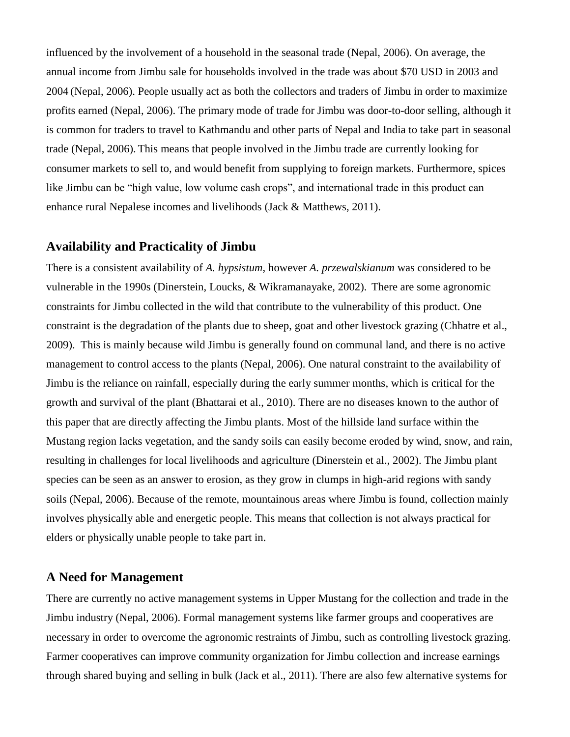influenced by the involvement of a household in the seasonal trade (Nepal, 2006). On average, the annual income from Jimbu sale for households involved in the trade was about \$70 USD in 2003 and 2004 (Nepal, 2006). People usually act as both the collectors and traders of Jimbu in order to maximize profits earned (Nepal, 2006). The primary mode of trade for Jimbu was door-to-door selling, although it is common for traders to travel to Kathmandu and other parts of Nepal and India to take part in seasonal trade (Nepal, 2006). This means that people involved in the Jimbu trade are currently looking for consumer markets to sell to, and would benefit from supplying to foreign markets. Furthermore, spices like Jimbu can be "high value, low volume cash crops", and international trade in this product can enhance rural Nepalese incomes and livelihoods (Jack & Matthews, 2011).

# **Availability and Practicality of Jimbu**

There is a consistent availability of *A. hypsistum*, however *A. przewalskianum* was considered to be vulnerable in the 1990s (Dinerstein, Loucks, & Wikramanayake, 2002). There are some agronomic constraints for Jimbu collected in the wild that contribute to the vulnerability of this product. One constraint is the degradation of the plants due to sheep, goat and other livestock grazing (Chhatre et al., 2009). This is mainly because wild Jimbu is generally found on communal land, and there is no active management to control access to the plants (Nepal, 2006). One natural constraint to the availability of Jimbu is the reliance on rainfall, especially during the early summer months, which is critical for the growth and survival of the plant (Bhattarai et al., 2010). There are no diseases known to the author of this paper that are directly affecting the Jimbu plants. Most of the hillside land surface within the Mustang region lacks vegetation, and the sandy soils can easily become eroded by wind, snow, and rain, resulting in challenges for local livelihoods and agriculture (Dinerstein et al., 2002). The Jimbu plant species can be seen as an answer to erosion, as they grow in clumps in high-arid regions with sandy soils (Nepal, 2006). Because of the remote, mountainous areas where Jimbu is found, collection mainly involves physically able and energetic people. This means that collection is not always practical for elders or physically unable people to take part in.

### **A Need for Management**

There are currently no active management systems in Upper Mustang for the collection and trade in the Jimbu industry (Nepal, 2006). Formal management systems like farmer groups and cooperatives are necessary in order to overcome the agronomic restraints of Jimbu, such as controlling livestock grazing. Farmer cooperatives can improve community organization for Jimbu collection and increase earnings through shared buying and selling in bulk (Jack et al., 2011). There are also few alternative systems for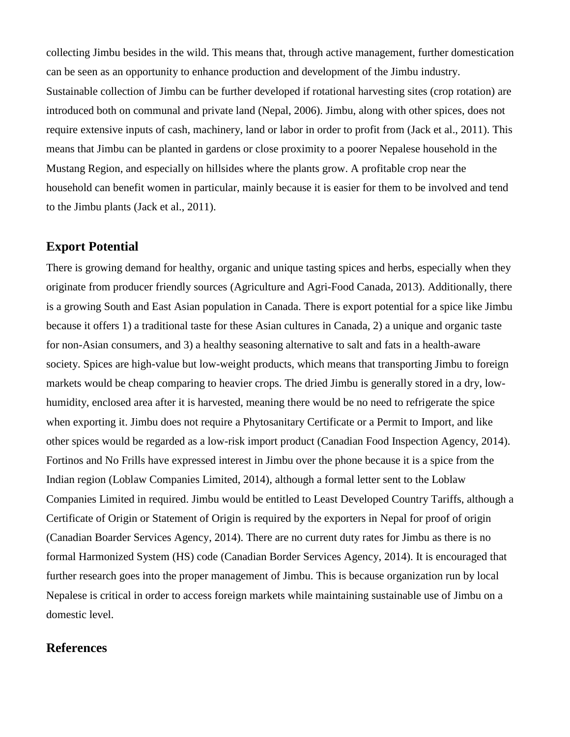collecting Jimbu besides in the wild. This means that, through active management, further domestication can be seen as an opportunity to enhance production and development of the Jimbu industry. Sustainable collection of Jimbu can be further developed if rotational harvesting sites (crop rotation) are introduced both on communal and private land (Nepal, 2006). Jimbu, along with other spices, does not require extensive inputs of cash, machinery, land or labor in order to profit from (Jack et al., 2011). This means that Jimbu can be planted in gardens or close proximity to a poorer Nepalese household in the Mustang Region, and especially on hillsides where the plants grow. A profitable crop near the household can benefit women in particular, mainly because it is easier for them to be involved and tend to the Jimbu plants (Jack et al., 2011).

# **Export Potential**

There is growing demand for healthy, organic and unique tasting spices and herbs, especially when they originate from producer friendly sources (Agriculture and Agri-Food Canada, 2013). Additionally, there is a growing South and East Asian population in Canada. There is export potential for a spice like Jimbu because it offers 1) a traditional taste for these Asian cultures in Canada, 2) a unique and organic taste for non-Asian consumers, and 3) a healthy seasoning alternative to salt and fats in a health-aware society. Spices are high-value but low-weight products, which means that transporting Jimbu to foreign markets would be cheap comparing to heavier crops. The dried Jimbu is generally stored in a dry, lowhumidity, enclosed area after it is harvested, meaning there would be no need to refrigerate the spice when exporting it. Jimbu does not require a Phytosanitary Certificate or a Permit to Import, and like other spices would be regarded as a low-risk import product (Canadian Food Inspection Agency, 2014). Fortinos and No Frills have expressed interest in Jimbu over the phone because it is a spice from the Indian region (Loblaw Companies Limited, 2014), although a formal letter sent to the Loblaw Companies Limited in required. Jimbu would be entitled to Least Developed Country Tariffs, although a Certificate of Origin or Statement of Origin is required by the exporters in Nepal for proof of origin (Canadian Boarder Services Agency, 2014). There are no current duty rates for Jimbu as there is no formal Harmonized System (HS) code (Canadian Border Services Agency, 2014). It is encouraged that further research goes into the proper management of Jimbu. This is because organization run by local Nepalese is critical in order to access foreign markets while maintaining sustainable use of Jimbu on a domestic level.

# **References**